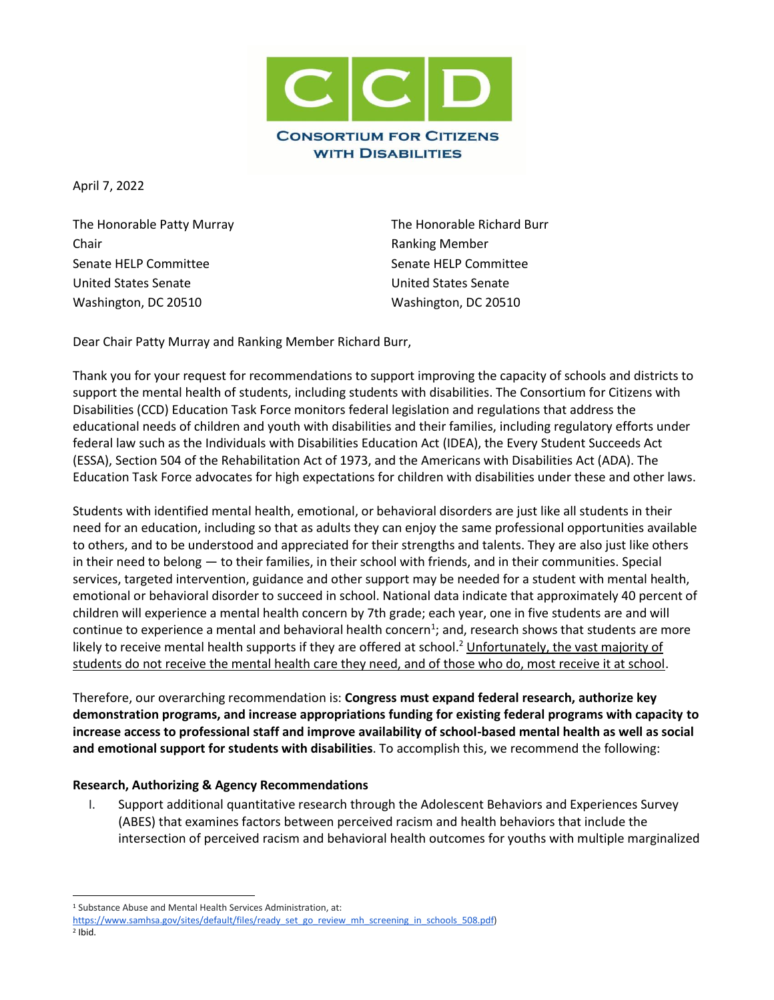

April 7, 2022

The Honorable Patty Murray **The Honorable Richard Burr** Chair **Chair Chair Chair Chair Chair Chair Chair Chair Chair Chair Chair Chair Chair Chair Chair Chair Chair Chair Chair Chair Chair Chair Chair Chair Chair Chair Chair** Senate HELP Committee Senate HELP Committee United States Senate United States Senate Washington, DC 20510 Washington, DC 20510

Dear Chair Patty Murray and Ranking Member Richard Burr,

Thank you for your request for recommendations to support improving the capacity of schools and districts to support the mental health of students, including students with disabilities. The Consortium for Citizens with Disabilities (CCD) Education Task Force monitors federal legislation and regulations that address the educational needs of children and youth with disabilities and their families, including regulatory efforts under federal law such as the Individuals with Disabilities Education Act (IDEA), the Every Student Succeeds Act (ESSA), Section 504 of the Rehabilitation Act of 1973, and the Americans with Disabilities Act (ADA). The Education Task Force advocates for high expectations for children with disabilities under these and other laws.

Students with identified mental health, emotional, or behavioral disorders are just like all students in their need for an education, including so that as adults they can enjoy the same professional opportunities available to others, and to be understood and appreciated for their strengths and talents. They are also just like others in their need to belong — to their families, in their school with friends, and in their communities. Special services, targeted intervention, guidance and other support may be needed for a student with mental health, emotional or behavioral disorder to succeed in school. National data indicate that approximately 40 percent of children will experience a mental health concern by 7th grade; each year, one in five students are and will continue to experience a mental and behavioral health concern<sup>1</sup>; and, research shows that students are more likely to receive mental health supports if they are offered at school.<sup>2</sup> Unfortunately, the vast majority of students do not receive the mental health care they need, and of those who do, most receive it at school.

Therefore, our overarching recommendation is: **Congress must expand federal research, authorize key demonstration programs, and increase appropriations funding for existing federal programs with capacity to increase access to professional staff and improve availability of school-based mental health as well as social and emotional support for students with disabilities**. To accomplish this, we recommend the following:

## **Research, Authorizing & Agency Recommendations**

I. Support additional quantitative research through the Adolescent Behaviors and Experiences Survey (ABES) that examines factors between perceived racism and health behaviors that include the intersection of perceived racism and behavioral health outcomes for youths with multiple marginalized

<sup>1</sup> Substance Abuse and Mental Health Services Administration, at:

[https://www.samhsa.gov/sites/default/files/ready\\_set\\_go\\_review\\_mh\\_screening\\_in\\_schools\\_508.pdf\)](https://www.samhsa.gov/sites/default/files/ready_set_go_review_mh_screening_in_schools_508.pdf)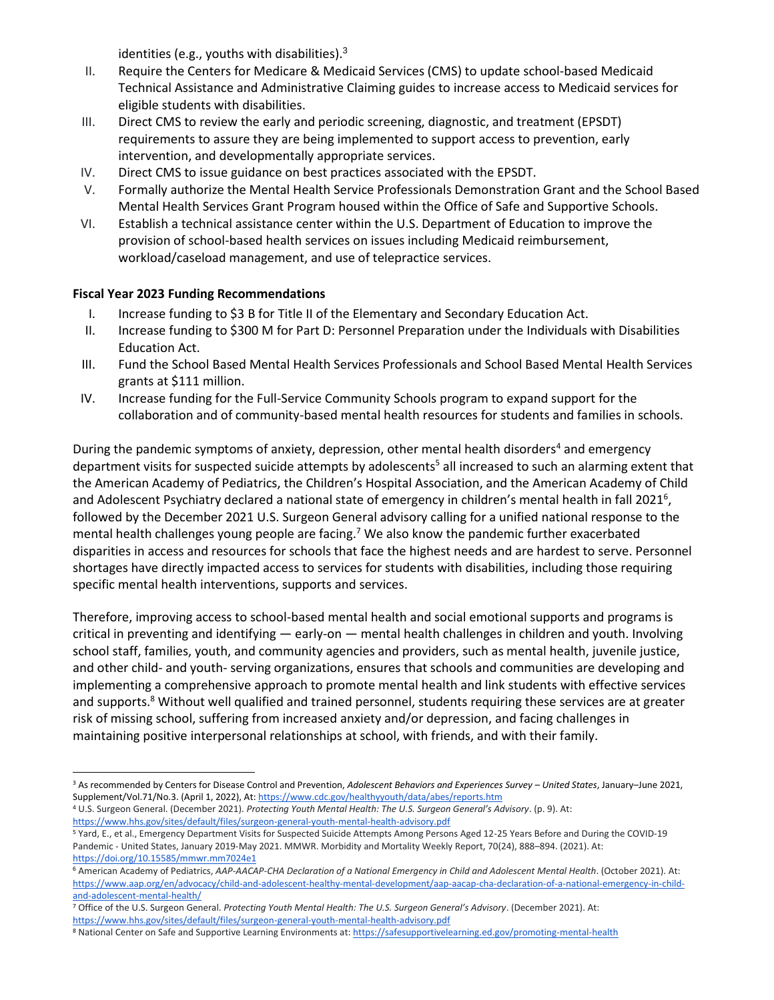identities (e.g., youths with disabilities). $3$ 

- II. Require the Centers for Medicare & Medicaid Services (CMS) to update school-based Medicaid Technical Assistance and Administrative Claiming guides to increase access to Medicaid services for eligible students with disabilities.
- III. Direct CMS to review the early and periodic screening, diagnostic, and treatment (EPSDT) requirements to assure they are being implemented to support access to prevention, early intervention, and developmentally appropriate services.
- IV. Direct CMS to issue guidance on best practices associated with the EPSDT.
- V. Formally authorize the Mental Health Service Professionals Demonstration Grant and the School Based Mental Health Services Grant Program housed within the Office of Safe and Supportive Schools.
- VI. Establish a technical assistance center within the U.S. Department of Education to improve the provision of school-based health services on issues including Medicaid reimbursement, workload/caseload management, and use of telepractice services.

## **Fiscal Year 2023 Funding Recommendations**

- I. Increase funding to \$3 B for Title II of the Elementary and Secondary Education Act.
- II. Increase funding to \$300 M for Part D: Personnel Preparation under the Individuals with Disabilities Education Act.
- III. Fund the School Based Mental Health Services Professionals and School Based Mental Health Services grants at \$111 million.
- IV. Increase funding for the Full-Service Community Schools program to expand support for the collaboration and of community-based mental health resources for students and families in schools.

During the pandemic symptoms of anxiety, depression, other mental health disorders<sup>4</sup> and emergency department visits for suspected suicide attempts by adolescents<sup>5</sup> all increased to such an alarming extent that the American Academy of Pediatrics, the Children's Hospital Association, and the American Academy of Child and Adolescent Psychiatry declared a national state of emergency in children's mental health in fall 2021<sup>6</sup>, followed by the December 2021 U.S. Surgeon General advisory calling for a unified national response to the mental health challenges young people are facing.<sup>7</sup> We also know the pandemic further exacerbated disparities in access and resources for schools that face the highest needs and are hardest to serve. Personnel shortages have directly impacted access to services for students with disabilities, including those requiring specific mental health interventions, supports and services.

Therefore, improving access to school-based mental health and social emotional supports and programs is critical in preventing and identifying — early-on — mental health challenges in children and youth. Involving school staff, families, youth, and community agencies and providers, such as mental health, juvenile justice, and other child- and youth- serving organizations, ensures that schools and communities are developing and implementing a comprehensive approach to promote mental health and link students with effective services and supports.<sup>8</sup> Without well qualified and trained personnel, students requiring these services are at greater risk of missing school, suffering from increased anxiety and/or depression, and facing challenges in maintaining positive interpersonal relationships at school, with friends, and with their family.

<sup>4</sup> U.S. Surgeon General. (December 2021). *Protecting Youth Mental Health: The U.S. Surgeon General's Advisory*. (p. 9). A[t:](https://www.hhs.gov/sites/default/files/surgeon-general-youth-mental-health-advisory.pdf) <https://www.hhs.gov/sites/default/files/surgeon-general-youth-mental-health-advisory.pdf>

<sup>3</sup> As recommended by Centers for Disease Control and Prevention, *Adolescent Behaviors and Experiences Survey – United States*, January–June 2021, Supplement/Vol.71/No.3. (April 1, 2022), At[: https://www.cdc.gov/healthyyouth/data/abes/reports.htm](https://www.cdc.gov/healthyyouth/data/abes/reports.htm)

<sup>5</sup> Yard, E., et al., Emergency Department Visits for Suspected Suicide Attempts Among Persons Aged 12-25 Years Before and During the COVID-19 Pandemic - United States, January 2019-May 2021. MMWR. Morbidity and Mortality Weekly Report, 70(24), 888–894. (2021). At: <https://doi.org/10.15585/mmwr.mm7024e1>

<sup>6</sup> American Academy of Pediatrics, *AAP-AACAP-CHA Declaration of a National Emergency in Child and Adolescent Mental Health*. (October 2021). A[t:](https://www.aap.org/en/advocacy/child-and-adolescent-healthy-mental-development/aap-aacap-cha-declaration-of-a-national-emergency-in-child-and-adolescent-mental-health/) [https://www.aap.org/en/advocacy/child-and-adolescent-healthy-mental-development/aap-aacap-cha-declaration-of-a-national-emergency-in-child](https://www.aap.org/en/advocacy/child-and-adolescent-healthy-mental-development/aap-aacap-cha-declaration-of-a-national-emergency-in-child-and-adolescent-mental-health/)[and-adolescent-mental-health/](https://www.aap.org/en/advocacy/child-and-adolescent-healthy-mental-development/aap-aacap-cha-declaration-of-a-national-emergency-in-child-and-adolescent-mental-health/)

<sup>7</sup> Office of the U.S. Surgeon General. *Protecting Youth Mental Health: The U.S. Surgeon General's Advisory*. (December 2021). A[t:](https://www.hhs.gov/sites/default/files/surgeon-general-youth-mental-health-advisory.pdf) <https://www.hhs.gov/sites/default/files/surgeon-general-youth-mental-health-advisory.pdf>

<sup>8</sup> National Center on Safe and Supportive Learning Environments at[: https://safesupportivelearning.ed.gov/promoting-mental-health](https://safesupportivelearning.ed.gov/promoting-mental-health)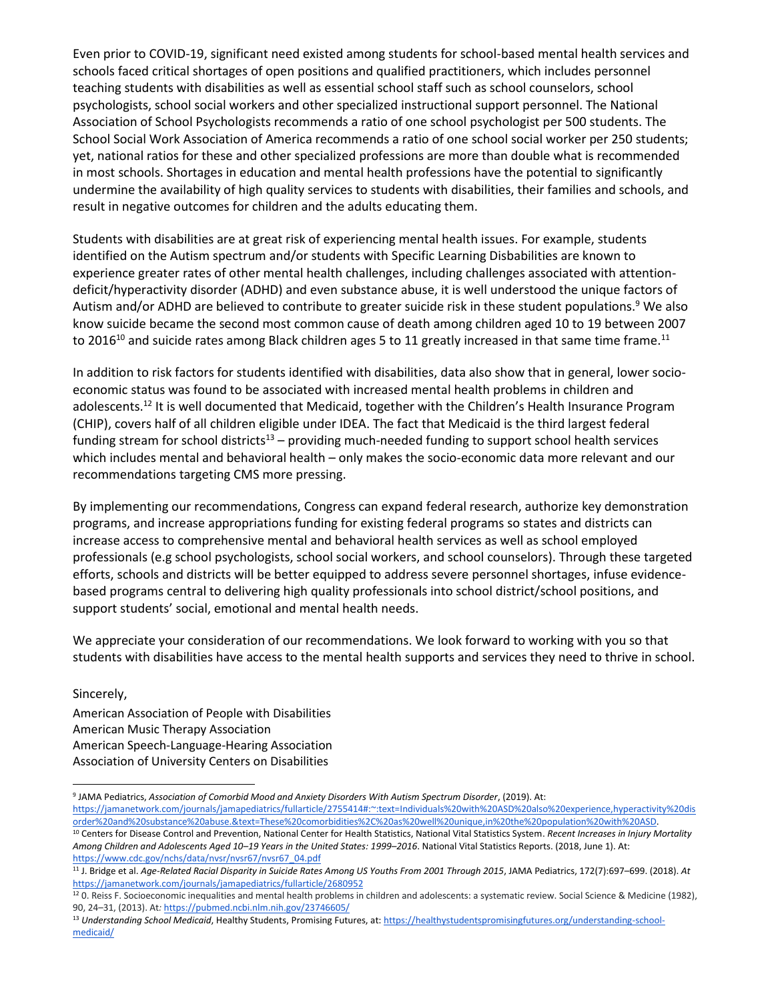Even prior to COVID-19, significant need existed among students for school-based mental health services and schools faced critical shortages of open positions and qualified practitioners, which includes personnel teaching students with disabilities as well as essential school staff such as school counselors, school psychologists, school social workers and other specialized instructional support personnel. The National Association of School Psychologists recommends a ratio of one school psychologist per 500 students. The School Social Work Association of America recommends a ratio of one school social worker per 250 students; yet, national ratios for these and other specialized professions are more than double what is recommended in most schools. Shortages in education and mental health professions have the potential to significantly undermine the availability of high quality services to students with disabilities, their families and schools, and result in negative outcomes for children and the adults educating them.

Students with disabilities are at great risk of experiencing mental health issues. For example, students identified on the Autism spectrum and/or students with Specific Learning Disbabilities are known to experience greater rates of other mental health challenges, including challenges associated with attentiondeficit/hyperactivity disorder (ADHD) and even substance abuse, it is well understood the unique factors of Autism and/or ADHD are believed to contribute to greater suicide risk in these student populations.<sup>9</sup> We also know suicide became the second most common cause of death among children aged 10 to 19 between 2007 to 2016<sup>10</sup> and suicide rates among Black children ages 5 to 11 greatly increased in that same time frame.<sup>11</sup>

In addition to risk factors for students identified with disabilities, data also show that in general, lower socioeconomic status was found to be associated with increased mental health problems in children and adolescents.<sup>12</sup> It is well documented that Medicaid, together with the Children's Health Insurance Program (CHIP), covers half of all children eligible under IDEA. The fact that Medicaid is the third largest federal funding stream for school districts<sup>13</sup> – providing much-needed funding to support school health services which includes mental and behavioral health – only makes the socio-economic data more relevant and our recommendations targeting CMS more pressing.

By implementing our recommendations, Congress can expand federal research, authorize key demonstration programs, and increase appropriations funding for existing federal programs so states and districts can increase access to comprehensive mental and behavioral health services as well as school employed professionals (e.g school psychologists, school social workers, and school counselors). Through these targeted efforts, schools and districts will be better equipped to address severe personnel shortages, infuse evidencebased programs central to delivering high quality professionals into school district/school positions, and support students' social, emotional and mental health needs.

We appreciate your consideration of our recommendations. We look forward to working with you so that students with disabilities have access to the mental health supports and services they need to thrive in school.

Sincerely,

American Association of People with Disabilities American Music Therapy Association American Speech-Language-Hearing Association Association of University Centers on Disabilities

<sup>9</sup> JAMA Pediatrics, *Association of Comorbid Mood and Anxiety Disorders With Autism Spectrum Disorder*, (2019). At: [https://jamanetwork.com/journals/jamapediatrics/fullarticle/2755414#:~:text=Individuals%20with%20ASD%20also%20experience,hyperactivity%20dis](https://jamanetwork.com/journals/jamapediatrics/fullarticle/2755414#:~:text=Individuals%20with%20ASD%20also%20experience,hyperactivity%20disorder%20and%20substance%20abuse.&text=These%20comorbidities%2C%20as%20well%20unique,in%20the%20population%20with%20ASD) [order%20and%20substance%20abuse.&text=These%20comorbidities%2C%20as%20well%20unique,in%20the%20population%20with%20ASD.](https://jamanetwork.com/journals/jamapediatrics/fullarticle/2755414#:~:text=Individuals%20with%20ASD%20also%20experience,hyperactivity%20disorder%20and%20substance%20abuse.&text=These%20comorbidities%2C%20as%20well%20unique,in%20the%20population%20with%20ASD)

<sup>&</sup>lt;sup>10</sup> Centers for Disease Control and Prevention, National Center for Health Statistics, National Vital Statistics System. Recent Increases in Injury Mortality *Among Children and Adolescents Aged 10–19 Years in the United States: 1999–2016*. National Vital Statistics Reports. (2018, June 1). A[t:](https://www.cdc.gov/nchs/data/nvsr/nvsr67/nvsr67_04.pdf) [https://www.cdc.gov/nchs/data/nvsr/nvsr67/nvsr67\\_04.pdf](https://www.cdc.gov/nchs/data/nvsr/nvsr67/nvsr67_04.pdf)

<sup>11</sup> J. Bridge et al. *Age-Related Racial Disparity in Suicide Rates Among US Youths From 2001 Through 2015*, JAMA Pediatrics, 172(7):697–699. (2018). *A[t](https://jamanetwork.com/journals/jamapediatrics/fullarticle/2680952)* <https://jamanetwork.com/journals/jamapediatrics/fullarticle/2680952>

<sup>&</sup>lt;sup>12</sup> 0. Reiss F. Socioeconomic inequalities and mental health problems in children and adolescents: a systematic review. Social Science & Medicine (1982), 90, 24–31, (2013). At*:* <https://pubmed.ncbi.nlm.nih.gov/23746605/>

<sup>&</sup>lt;sup>13</sup> Understanding School Medicaid, Healthy Students, Promising Futures, at[: https://healthystudentspromisingfutures.org/understanding-school](https://healthystudentspromisingfutures.org/understanding-school-medicaid/)[medicaid/](https://healthystudentspromisingfutures.org/understanding-school-medicaid/)